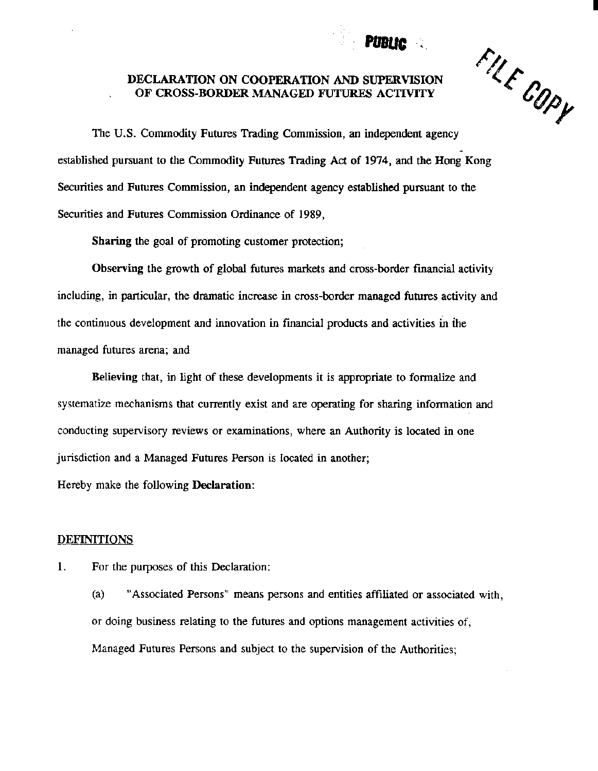# Pim te

## DECLARATION ON COOPERATION AND SUPERVISION OF CROSS-BORDER MANAGED FUTURES ACTIVITY



I

The U.S. Commodity Futures Trading Commission, an independent agency established pursuant to the Commodity Futures Trading Act of 1974, and the Hong Kong Securities and Futures Commission, an independent agency established pursuant to the Securities and Futures Commission Ordinance of 1989,

Sharing the goal of promoting customer protection;

Observing the growth of global futures markets and cross-border fmancial activity including, in particular, the dramatic increase in cross-border managed futures activity and the continuous development and innovation in fmancial products and activities in the managed futures arena; and

Believing that, in light of these developments it is appropriate to fonnalize and systematize mechanisms that currently exist and are operating for sharing infonnation and conducting supervisory reviews or examinations, where an Authority is located in one jurisdiction and a Managed Futures Person is located in another;

Hereby make the following Declaration:

### DEFINITIONS

I. For the purposes of this Declaration:

(a) "Associated Persons" means persons and entities affiliated or associated with, or doing business relating to the futures and options management activities of, Managed Futures Persons and subject to the supervision of the Authorities;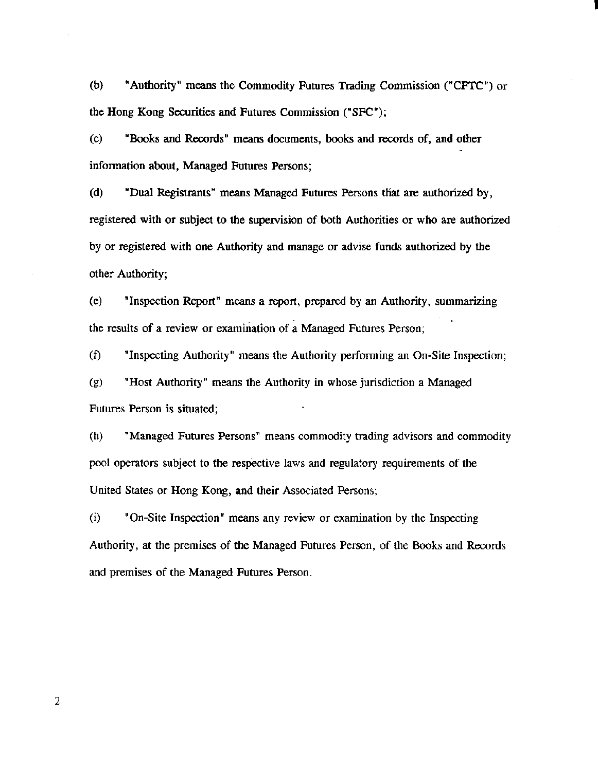(b) "Authority" means the Commodity Futures Trading Commission ("CFfC") or the Hong Kong Securities and Futures Commission ("SFC");

I

(c) "Books and Records" means documents, books and records of, and other information about, Managed Futures Persons;

(d) "Dual Registrants" means Managed Futures Persons tliat are authorized by, registered with or subject to the supervision of both Authorities or who are authorized by or registered with one Authority and manage or advise funds authorized by the other Authority;

(e) "Inspection Report" means a report, prepared by an Authority, summarizing the results of a review or examination of a Managed Futures Person;

(f) "Inspecting Authority" means the Authority performing an On-Site Inspection;

(g) "Host Authority" means the Authority in whose jurisdiction a Managed Futures Person is situated;

(h) "Managed Futures Persons" means commodity trading advisors and commodity pool operators subject to the respective laws and regulatory requirements of the United States or Hong Kong, and their Associated Persons;

(i) "On-Site Inspection" means any review or examination by the Inspecting Authority, at the premises of the Managed Futures Person, of the Books and Records and premises of the Managed Futures Person.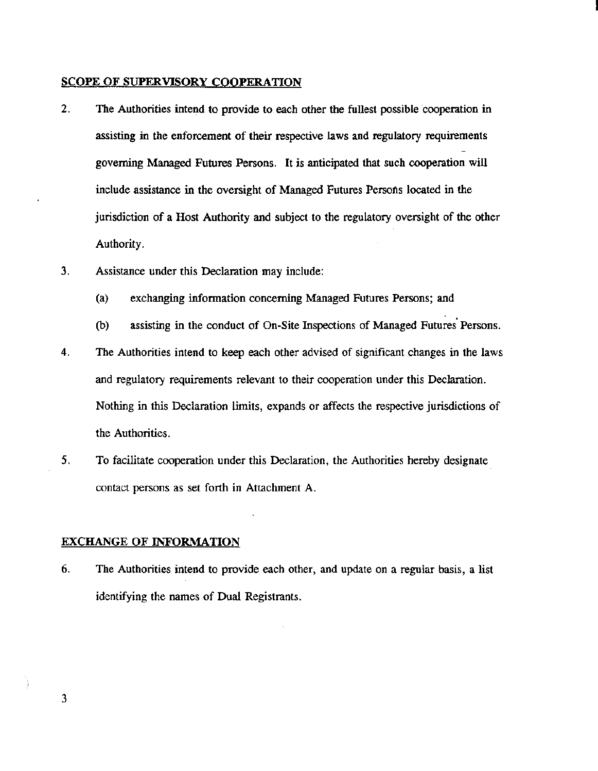#### SCOPE OF SUPERVISORY COOPERATION

- 2. The Authorities intend to provide to each other the fullest possible cooperation in assisting in the enforcement of their respective laws and regulatory requirements governing Managed Futures Persons. It is anticipated that such cooperation will include assistance in the oversight of Managed Futures Persons located in the jurisdiction of a Host Authority and subject to the regulatory oversight of the other Authority.
- 3. Assistance under this Declaration may include:
	- (a) exchanging information concerning Managed Futures Persons; and
	- (b) assisting in the conduct of On-Site Inspections of Managed Futures' Persons.
- 4. The Authorities intend to keep each other advised of significant changes in the laws and regulatory requirements relevant to their cooperation under this Declaration. Nothing in this Declaration limits, expands or affects the respective jurisdictions of the Authorities.
- *5.*  To facilitate cooperation under this Declaration, the Authorities hereby designate contact persons as set forth in Attachment A.

#### EXCHANGE OF INFORMATION

6. The Authorities intend to provide each other, and update on a regular basis, a list identifying the names of Dual Registrants.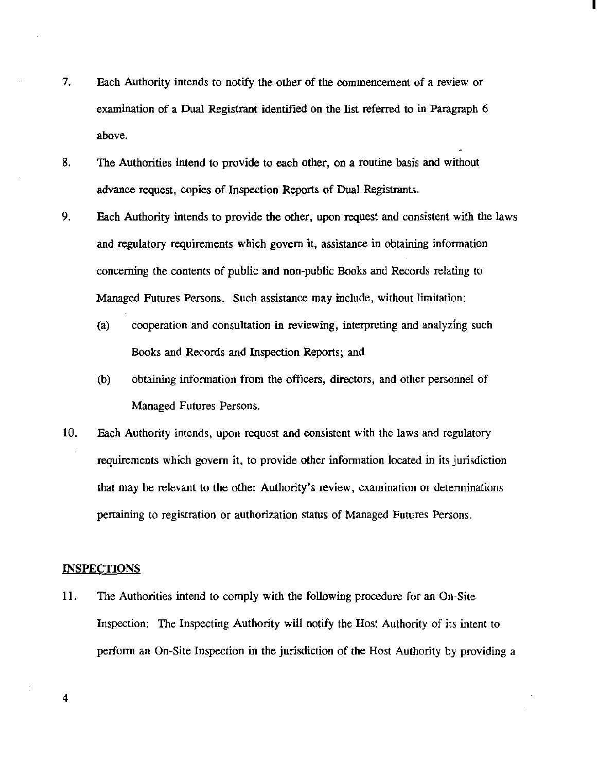7. Each Authority intends to notify the other of the commencement of a review or examination of a Dual Registrant identified on the list referred to in Paragraph 6 above.

I

- 8. The Authorities intend to provide to each other, on a routine basis and without advance request, copies of Inspection Reports of Dual Registrants.
- 9. Each Authority intends to provide the other, upon request and consistent with the laws and regulatory requirements which govern it, assistance in obtaining information concerning the contents of public and non-public Books and Records relating to Managed Futures Persons. Such assistance may include, without limitation:
	- (a) cooperation and consultation in reviewing, interpreting and analyzing such Books and Records and Inspection Reports; and
	- (b) obtaining information from the officers, directors, and other personnel of Managed Futures Persons.
- 10. Each Authority intends, upon request and consistent with the laws and regulatory requirements which govern it, to provide other information located in its jurisdiction that may be relevant to the other Authority's review, examination or detenninations pertaining to registration or authorization status of Managed Futures Persons.

#### **INSPECTIONS**

11. The Authorities intend to comply with the following procedure for an On-Site Inspection: The Inspecting Authority will notify the Host Authority of its intent to perfonn an On-Site Inspection in the jurisdiction of the Host Authority by providing a

4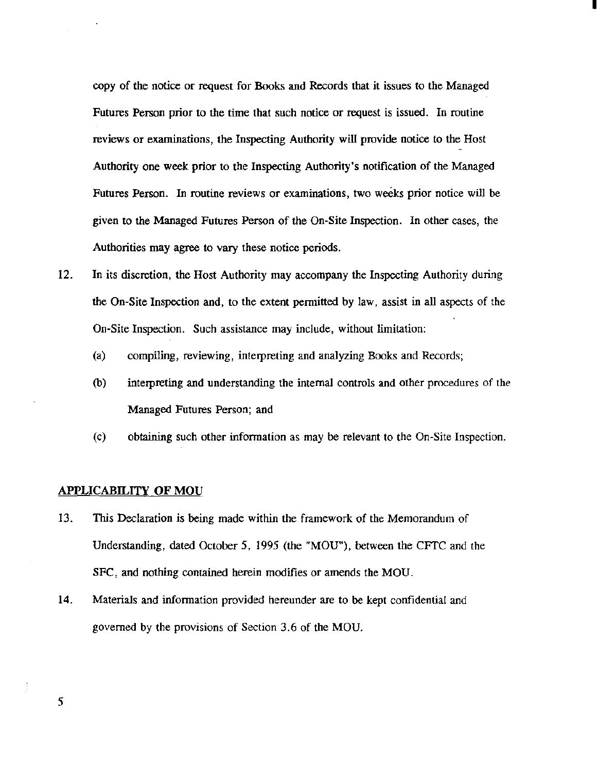copy of the notice or request for Books and Records that it issues to the Managed Futures Person prior to the time that such notice or request is issued. In routine reviews or examinations, the Inspecting Authority will provide notice to the Host Authority one week prior to the Inspecting Authority's notification of the Managed Futures Person. In routine reviews or examinations, two weeks prior notice will be given to the Managed Futures Person of the On-Site Inspection. In other cases, the Authorities may agree to vary these notice periods.

I

- 12. In its discretion, the Host Authority may accompany the Inspecting Authority during the On-Site Inspection and, to the extent permitted by law, assist in all aspects of the On-Site Inspection. Such assistance may include, without limitation:
	- (a) compiling, reviewing, interpreting and analyzing Books and Records;
	- {b) interpreting and understanding the internal controls and other procedures of the Managed Futures Person; and
	- (c) obtaining such other information as may be relevant to the On-Site Inspection.

#### APPLICABILITY OF MOU

- 13. This Declaration is being made within the framework of the Memorandum of Understanding, dated October 5, 1995 (the "MOU"), between the CFTC and the SFC, and nothing contained herein modifies or amends the MOU.
- 14. Materials and information provided hereunder are to be kept confidential and governed by the provisions of Section 3.6 of the MOU.